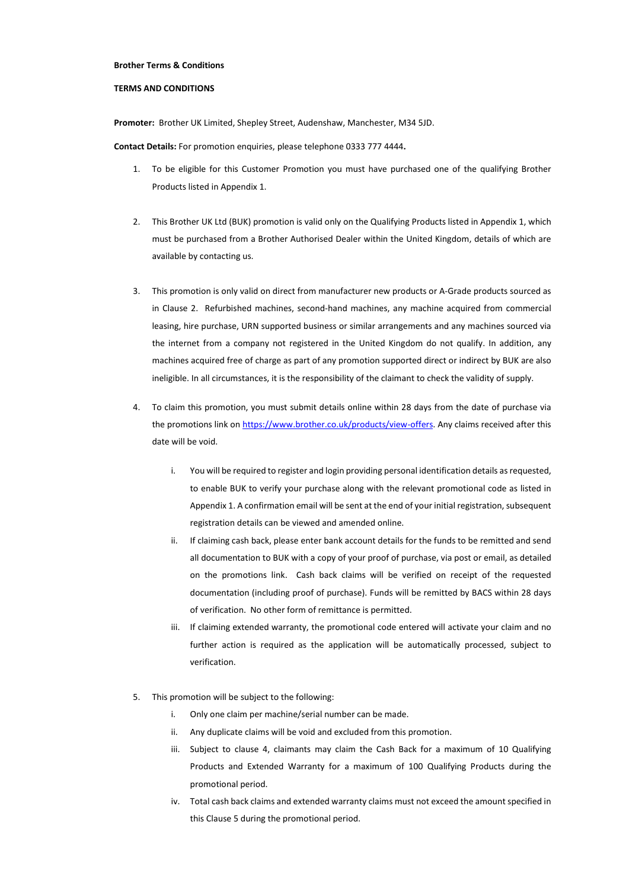## **Brother Terms & Conditions**

## **TERMS AND CONDITIONS**

**Promoter:** Brother UK Limited, Shepley Street, Audenshaw, Manchester, M34 5JD.

**Contact Details:** For promotion enquiries, please telephone 0333 777 4444**.**

- 1. To be eligible for this Customer Promotion you must have purchased one of the qualifying Brother Products listed in Appendix 1.
- 2. This Brother UK Ltd (BUK) promotion is valid only on the Qualifying Products listed in Appendix 1, which must be purchased from a Brother Authorised Dealer within the United Kingdom, details of which are available by contacting us.
- 3. This promotion is only valid on direct from manufacturer new products or A-Grade products sourced as in Clause 2. Refurbished machines, second-hand machines, any machine acquired from commercial leasing, hire purchase, URN supported business or similar arrangements and any machines sourced via the internet from a company not registered in the United Kingdom do not qualify. In addition, any machines acquired free of charge as part of any promotion supported direct or indirect by BUK are also ineligible. In all circumstances, it is the responsibility of the claimant to check the validity of supply.
- 4. To claim this promotion, you must submit details online within 28 days from the date of purchase via the promotions link on [https://www.brother.co.uk/products/view-offers.](https://www.brother.co.uk/products/view-offers) Any claims received after this date will be void.
	- i. You will be required to register and login providing personal identification details as requested, to enable BUK to verify your purchase along with the relevant promotional code as listed in Appendix 1. A confirmation email will be sent at the end of your initial registration, subsequent registration details can be viewed and amended online.
	- ii. If claiming cash back, please enter bank account details for the funds to be remitted and send all documentation to BUK with a copy of your proof of purchase, via post or email, as detailed on the promotions link. Cash back claims will be verified on receipt of the requested documentation (including proof of purchase). Funds will be remitted by BACS within 28 days of verification. No other form of remittance is permitted.
	- iii. If claiming extended warranty, the promotional code entered will activate your claim and no further action is required as the application will be automatically processed, subject to verification.
- 5. This promotion will be subject to the following:
	- i. Only one claim per machine/serial number can be made.
	- ii. Any duplicate claims will be void and excluded from this promotion.
	- iii. Subject to clause 4, claimants may claim the Cash Back for a maximum of 10 Qualifying Products and Extended Warranty for a maximum of 100 Qualifying Products during the promotional period.
	- iv. Total cash back claims and extended warranty claims must not exceed the amount specified in this Clause 5 during the promotional period.